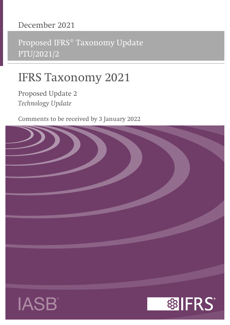# **December 2021**

Proposed IFRS® Taxonomy Update PTU/2021/2

# **IFRS Taxonomy 2021**

**Proposed Update 2** *Technology Update*

Comments to be received by 3 January 2022





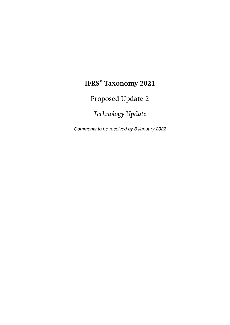# **IFRS® Taxonomy 2021**

Proposed Update 2

*Technology Update*

Comments to be received by 3 January 2022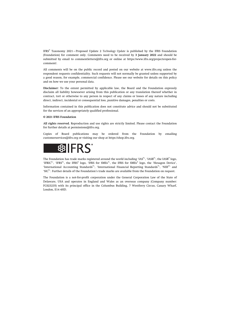IFRS® Taxonomy 2021—Proposed Update 2 *Technology Update* is published by the IFRS Foundation (Foundation) for comment only. Comments need to be received by **3 January 2022** and should be submitted by email to [commentletters@ifrs.org](mailto:commentletters@ifrs.org) or online at [https://www.ifrs.org/projects/open-for](https://www.ifrs.org/projects/open-for-comment/)[comment/](https://www.ifrs.org/projects/open-for-comment/).

All comments will be on the public record and posted on our website at [www.ifrs.org](https://www.ifrs.org) unless the respondent requests confidentiality. Such requests will not normally be granted unless supported by a good reason, for example, commercial confidence. Please see our website for details on this policy and on how we use your personal data.

**Disclaimer:** To the extent permitted by applicable law, the Board and the Foundation expressly disclaim all liability howsoever arising from this publication or any translation thereof whether in contract, tort or otherwise to any person in respect of any claims or losses of any nature including direct, indirect, incidental or consequential loss, punitive damages, penalties or costs.

Information contained in this publication does not constitute advice and should not be substituted for the services of an appropriately qualified professional.

#### **© 2021 IFRS Foundation**

**All rights reserved.** Reproduction and use rights are strictly limited. Please contact the Foundation for further details at [permissions@ifrs.org](mailto:permissions@ifrs.org).

Copies of Board publications may be ordered from the Foundation by emailing [customerservices@ifrs.org](mailto:customerservices@ifrs.org) or visiting our shop at<https://shop.ifrs.org>.



The Foundation has trade marks registered around the world including 'IAS<sup>®</sup>', 'IASB<sup>®</sup>', the IASB<sup>®</sup> logo, 'IFRIC®', 'IFRS®', the IFRS® logo, 'IFRS for SMEs®', the IFRS for SMEs® logo, the 'Hexagon Device', 'International Accounting Standards®', 'International Financial Reporting Standards®', 'NIIF®' and 'SIC®'. Further details of the Foundation's trade marks are available from the Foundation on request.

The Foundation is a not-for-profit corporation under the General Corporation Law of the State of Delaware, USA and operates in England and Wales as an overseas company (Company number: FC023235) with its principal office in the Columbus Building, 7 Westferry Circus, Canary Wharf, London, E14 4HD.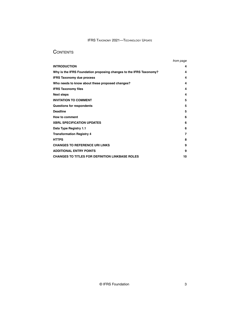# **CONTENTS**

|                                                                    | from page |
|--------------------------------------------------------------------|-----------|
| <b>INTRODUCTION</b>                                                | 4         |
| Why is the IFRS Foundation proposing changes to the IFRS Taxonomy? | 4         |
| <b>IFRS Taxonomy due process</b>                                   | 4         |
| Who needs to know about these proposed changes?                    | 4         |
| <b>IFRS Taxonomy files</b>                                         | 4         |
| <b>Next steps</b>                                                  | 4         |
| <b>INVITATION TO COMMENT</b>                                       | 5         |
| Questions for respondents                                          | 5         |
| <b>Deadline</b>                                                    | 5         |
| How to comment                                                     | 6         |
| <b>XBRL SPECIFICATION UPDATES</b>                                  | 6         |
| Data Type Registry 1.1                                             | 6         |
| <b>Transformation Registry 4</b>                                   | 7         |
| <b>HTTPS</b>                                                       | 8         |
| <b>CHANGES TO REFERENCE URI LINKS</b>                              | 9         |
| <b>ADDITIONAL ENTRY POINTS</b>                                     | 9         |
| <b>CHANGES TO TITLES FOR DEFINITION LINKBASE ROLES</b>             | 10        |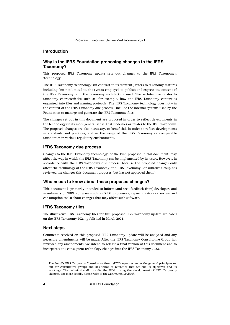#### <span id="page-4-0"></span>**Introduction**

# **Why is the IFRS Foundation proposing changes to the IFRS Taxonomy?**

This proposed IFRS Taxonomy update sets out changes to the IFRS Taxonomy's 'technology'.

The IFRS Taxonomy 'technology' (in contrast to its 'content') refers to taxonomy features including, but not limited to, the syntax employed to publish and express the content of the IFRS Taxonomy, and the taxonomy architecture used. The architecture relates to taxonomy characteristics such as, for example, how the IFRS Taxonomy content is organised into files and naming protocols. The IFRS Taxonomy technology does not—in the context of the IFRS Taxonomy due process—include the internal systems used by the Foundation to manage and generate the IFRS Taxonomy files.

The changes set out in this document are proposed in order to reflect developments in the technology (in its more general sense) that underlies or relates to the IFRS Taxonomy. The proposed changes are also necessary, or beneficial, in order to reflect developments in standards and practices, and in the usage of the IFRS Taxonomy or comparable taxonomies in various regulatory environments.

#### **IFRS Taxonomy due process**

Changes to the IFRS Taxonomy technology, of the kind proposed in this document, may affect the way in which the IFRS Taxonomy can be implemented by its users. However, in accordance with the IFRS Taxonomy due process, because the proposed changes only affect the technology of the IFRS Taxonomy, the IFRS Taxonomy Consultative Group has reviewed the changes this document proposes, but has not approved them.<sup>1</sup>

#### **Who needs to know about these proposed changes?**

This document is primarily intended to inform (and seek feedback from) developers and maintainers of XBRL software (such as XBRL processors, report creators or review and consumption tools) about changes that may affect such software.

#### **IFRS Taxonomy files**

The illustrative IFRS Taxonomy files for this proposed IFRS Taxonomy update are based on the IFRS Taxonomy 2021, published in March 2021.

#### **Next steps**

Comments received on this proposed IFRS Taxonomy update will be analysed and any necessary amendments will be made. After the IFRS Taxonomy Consultative Group has reviewed any amendments, we intend to release a final version of this document and to incorporate the consequent technology changes into the IFRS Taxonomy 2022.

<sup>1</sup> The Board's IFRS Taxonomy Consultative Group (ITCG) operates under the general principles set out for consultative groups and has terms of reference that set out its objectives and its workings. The technical staff consults the ITCG during the development of IFRS Taxonomy changes. For more details, please refer to the *[Due Process Handbook](https://cdn.ifrs.org/-/media/feature/about-us/legal-and-governance/constitution-docs/due-process-handbook-2020.pdf?la=en)*.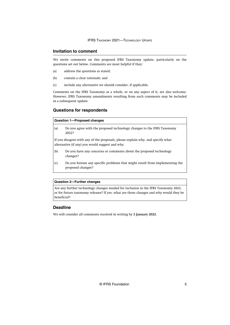## <span id="page-5-0"></span>**Invitation to comment**

We invite comments on this proposed IFRS Taxonomy update, particularly on the questions set out below. Comments are most helpful if they:

- (a) address the questions as stated;
- (b) contain a clear rationale; and
- (c) include any alternative we should consider, if applicable.

Comments on the IFRS Taxonomy as a whole, or on any aspect of it, are also welcome. However, IFRS Taxonomy amendments resulting from such comments may be included in a subsequent update.

# **Questions for respondents**

| Question 1-Proposed changes |                                                                                                                                    |  |
|-----------------------------|------------------------------------------------------------------------------------------------------------------------------------|--|
| (a)                         | Do you agree with the proposed technology changes to the IFRS Taxonomy<br>2022?                                                    |  |
|                             | If you disagree with any of the proposals, please explain why, and specify what<br>alternative (if any) you would suggest and why. |  |
| (b)                         | Do you have any concerns or comments about the proposed technology<br>changes?                                                     |  |
| (c)                         | Do you foresee any specific problems that might result from implementing the<br>proposed changes?                                  |  |

#### **Question 2—Further changes**

Are any further technology changes needed for inclusion in the IFRS Taxonomy 2022, or for future taxonomy releases? If yes, what are those changes and why would they be beneficial?

# **Deadline**

We will consider all comments received in writing by **3 January 2022**.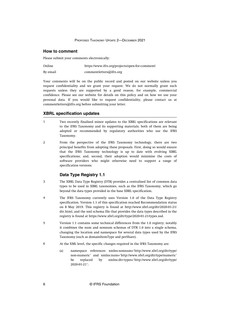#### <span id="page-6-0"></span>**How to comment**

Please submit your comments electronically:

| Online   | https://www.ifrs.org/projects/open-for-comment/ |
|----------|-------------------------------------------------|
| By email | commentletters@ifrs.org                         |

Your comments will be on the public record and posted on our website unless you request confidentiality and we grant your request. We do not normally grant such requests unless they are supported by a good reason, for example, commercial confidence. Please see our website for details on this policy and on how we use your personal data. If you would like to request confidentiality, please contact us at [commentletters@ifrs.org](mailto:commentletters@ifrs.org) before submitting your letter.

#### **XBRL specification updates**

- Two recently finalised minor updates to the XBRL specifications are relevant to the IFRS Taxonomy and its supporting materials; both of them are being adopted or recommended by regulatory authorities who use the IFRS Taxonomy. 1
- From the perspective of the IFRS Taxonomy technology, there are two principal benefits from adopting these proposals. First, doing so would ensure that the IFRS Taxonomy technology is up to date with evolving XBRL specifications; and, second, their adoption would minimise the costs of software providers who might otherwise need to support a range of specification versions.  $\overline{2}$

# **Data Type Registry 1.1**

- The XBRL Data Type Registry (DTR) provides a centralised list of common data types to be used in XBRL taxonomies, such as the IFRS Taxonomy, which go beyond the data types provided in the base XBRL specification. 3
- The IFRS Taxonomy currently uses Version 1.0 of the Data Type Registry specification. Version 1.1 of this specification reached Recommendation status on 8 May 2019. This registry is found a[t http://www.xbrl.org/dtr/2020-01-21/](http://www.xbrl.org/dtr/2020-01-21/dtr.html) [dtr.html](http://www.xbrl.org/dtr/2020-01-21/dtr.html), and the xml schema file that provides the data types described in the registry is found at <https://www.xbrl.org/dtr/type/2020-01-21/types.xsd>. 4
- Version 1.1 contains some technical differences from the 1.0 registry; notably it combines the num and nonnum schemas of DTR 1.0 into a single schema, changing the location and namespace for several data types used by the IFRS Taxonomy (such as domainItemType and perShare). 5
- At the XML level, the specific changes required in the IFRS Taxonomy are: 6
	- (a) namespace references xmlns:nonnum='http://www.xbrl.org/dtr/type/ non-numeric' and xmlns:num='http://www.xbrl.org/dtr/type/numeric' be replaced by xmlns:dtr-types='http://www.xbrl.org/dtr/type/ 2020-01-21';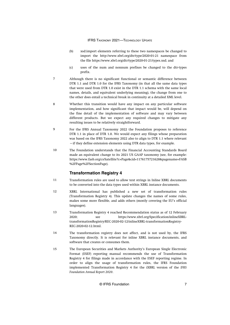- <span id="page-7-0"></span>(b) xsd:import elements referring to these two namespaces be changed to import the http://www.xbrl.org/dtr/type/2020-01-21 namespace from the file<https://www.xbrl.org/dtr/type/2020-01-21/types.xsd>; and
- (c) uses of the num and nonnum prefixes be changed to the dtr-types prefix.
- Although there is no significant functional or semantic difference between DTR 1.1 and DTR 1.0 for the IFRS Taxonomy (in that all the same data types that were used from DTR 1.0 exist in the DTR 1.1 schema with the same local names, details, and equivalent underlying meaning), the change from one to the other does entail a technical break in continuity at a detailed XML level. 7
- Whether this transition would have any impact on any particular software implementation, and how significant that impact would be, will depend on the fine detail of the implementation of software and may vary between different products. But we expect any required changes to mitigate any resulting issues to be relatively straightforward. 8
- For the IFRS Annual Taxonomy 2022 the Foundation proposes to reference DTR 1.1 in place of DTR 1.0. We would expect any filings whose preparation was based on the IFRS Taxonomy 2022 also to align to DTR 1.1 where relevant —if they define extension elements using DTR data types, for example. 9
- The Foundation understands that the Financial Accounting Standards Board made an equivalent change to its 2021 US GAAP taxonomy (see, for example: [https://www.fasb.org/cs/Satellite?c=Page&cid=1176175721628&pagename=FASB](https://www.fasb.org/cs/Satellite?c=Page&cid=1176175721628&pagename=FASB%2FPage%2FSectionPage) [%2FPage%2FSectionPage](https://www.fasb.org/cs/Satellite?c=Page&cid=1176175721628&pagename=FASB%2FPage%2FSectionPage)). 10

# **Transformation Registry 4**

- Transformation rules are used to allow text strings in Inline XBRL documents to be converted into the data types used within XBRL instance documents. 11
- XBRL International has published a new set of transformation rules (Transformation Registry 4). This update changes the names of some rules, makes some more flexible, and adds others (mostly covering the EU's official languages). 12
- Transformation Registry 4 reached Recommendation status as of 12 February 2020; se[e https://www.xbrl.org/Specification/inlineXBRL](https://www.xbrl.org/Specification/inlineXBRL-transformationRegistry/REC-2020-02-12/inlineXBRL-transformationRegistry-REC-2020-02-12.html)[transformationRegistry/REC-2020-02-12/inlineXBRL-transformationRegistry-](https://www.xbrl.org/Specification/inlineXBRL-transformationRegistry/REC-2020-02-12/inlineXBRL-transformationRegistry-REC-2020-02-12.html)[REC-2020-02-12.html.](https://www.xbrl.org/Specification/inlineXBRL-transformationRegistry/REC-2020-02-12/inlineXBRL-transformationRegistry-REC-2020-02-12.html) 13
- The transformation registry does not affect, and is not used by, the IFRS Taxonomy directly. It is relevant for inline XBRL instance documents, and software that creates or consumes them. 14
- The European Securities and Markets Authority's European Single Electronic Format (ESEF) reporting manual recommends the use of Transformation Registry 4 for filings made in accordance with the ESEF reporting regime. In order to align the usage of transformation rules, the IFRS Foundation implemented Transformation Registry 4 for the iXBRL version of the *IFRS Foundation Annual Report 2020*. 15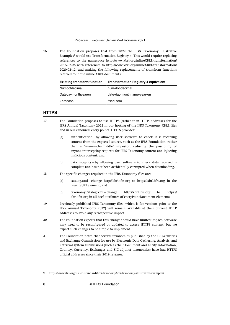#### PROPOSED TAXONOMY UPDATE 2—DECEMBER 2021

<span id="page-8-0"></span>The Foundation proposes that from 2022 the IFRS Taxonomy Illustrative Examples<sup>2</sup> would use Transformation Registry 4. This would require replacing references to the namespace http://www.xbrl.org/inlineXBRL/transformation/ 2015-02-26 with references to http://www.xbrl.org/inlineXBRL/transformation/ 2020-02-12, and making the following replacements of transform functions referred to in the inline XBRL documents: 16

**Existing transform function Transformation Registry 4 equivalent**

| Numdotdecimal      | num-dot-decimal            |
|--------------------|----------------------------|
| Datedaymonthyearen | date-day-monthname-year-en |
| Zerodash           | fixed-zero                 |

## **HTTPS**

- The Foundation proposes to use HTTPS (rather than HTTP) addresses for the IFRS Annual Taxonomy 2022 in our hosting of the IFRS Taxonomy XBRL files and in our canonical entry points. HTTPS provides: 17
	- (a) authentication—by allowing user software to check it is receiving content from the expected source, such as the IFRS Foundation, rather than a 'man-in-the-middle' impostor, reducing the possibility of anyone intercepting requests for IFRS Taxonomy content and injecting malicious content; and
	- (b) data integrity—by allowing user software to check data received is complete and has not been accidentally corrupted when downloading.
- The specific changes required in the IFRS Taxonomy files are: 18
	- (a) catalog.xml—change http://xbrl.ifrs.org to https://xbrl.ifrs.org in the rewriteURI element; and
	- (b) taxonomyCatalog.xml—change http://xbrl.ifrs.org to https:// xbrl.ifrs.org in all href attributes of entryPointDocument elements.
- Previously published IFRS Taxonomy files (which is for versions prior to the IFRS Annual Taxonomy 2022) will remain available at their current HTTP addresses to avoid any retrospective impact. 19
- The Foundation expects that this change should have limited impact. Software may need to be reconfigured or updated to access HTTPS content, but we expect such changes to be simple to implement. 20
- The Foundation notes that several taxonomies published by the US Securities and Exchange Commission for use by Electronic Data Gathering, Analysis, and Retrieval system submissions (such as their Document and Entity Information, Country, Currency, Exchanges and SIC adjunct taxonomies) have had HTTPS official addresses since their 2019 releases. 21

<sup>2</sup><https://www.ifrs.org/issued-standards/ifrs-taxonomy/ifrs-taxonomy-illustrative-examples/>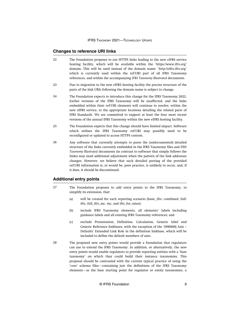#### <span id="page-9-0"></span>**Changes to reference URI links**

- The Foundation proposes to use HTTPS links leading to the new eIFRS service hosting facility, which will be available within the 'https://www.ifrs.org' domain. This will be used instead of the domain name: 'http://eifrs.ifrs.org' which is currently used within the ref:URI part of all IFRS Taxonomy references, and within the accompanying *IFRS Taxonomy Illustrated* documents. 22
- Due to migration to the new eIFRS hosting facility the precise structure of the parts of the link URIs following the domain name is subject to change. 23
- The Foundation expects to introduce this change for the IFRS Taxonomy 2022. Earlier versions of the IFRS Taxonomy will be unaffected, and the links embedded within their ref:URI elements will continue to resolve, within the new eIFRS service, to the appropriate locations detailing the related parts of IFRS Standards. We are committed to support at least the four most recent versions of the annual IFRS Taxonomy within the new eIFRS hosting facility. 24
- The Foundation expects that this change should have limited impact. Software which utilises the IFRS Taxonomy ref:URI may possibly need to be reconfigured or updated to access HTTPS content. 25
- Any software that currently attempts to parse the (undocumented) detailed structure of the links currently embedded in the IFRS Taxonomy files and *IFRS Taxonomy Illustrated* documents (in contrast to software that simply follows the links) may need additional adjustment when the pattern of the link addresses changes. However, we believe that such detailed parsing of the provided ref:URI information is, or would be, poor practice, is unlikely to occur, and, if it does, it should be discontinued. 26

# **Additional entry points**

- The Foundation proposes to add entry points to the IFRS Taxonomy, to simplify its extension, that: 27
	- (a) will be created for each reporting scenario (basic\_ifrs, combined, fullifrs, full\_ifrs\_mc, mc, and ifrs\_for\_smes);
	- (b) include IFRS Taxonomy elements, all elements' labels including guidance labels and all existing IFRS Taxonomy references; and
	- (c) exclude Presentation, Definition, Calculation, Generic label and Generic Reference linkbases, with the exception of the '[990000] Axis – Defaults' Extended Link Role in the definition linkbase, which will be included to define the default members of axes.
- The proposed new entry points would provide a foundation that regulators can use to extend the IFRS Taxonomy. In addition, or alternatively, the new entry points would enable regulators to provide reporting entities with a 'base taxonomy' on which they could build their instance taxonomies. This proposal should be contrasted with the current typical practice of using the 'core' schema files—containing just the definitions of the IFRS Taxonomy elements—as the base starting point for regulator or entity taxonomies, a 28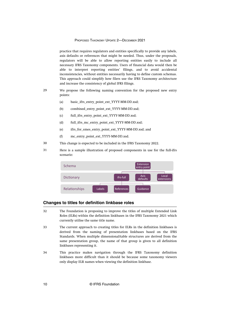#### PROPOSED TAXONOMY UPDATE 2—DECEMBER 2021

<span id="page-10-0"></span>practice that requires regulators and entities specifically to provide any labels, axis defaults or references that might be needed. Thus, under the proposals, regulators will be able to allow reporting entities easily to include all necessary IFRS Taxonomy components. Users of financial data would then be able to interpret reporting entities' filings, and to avoid accidental inconsistencies, without entities necessarily having to define custom schemas. This approach could simplify how filers use the IFRS Taxonomy architecture and increase the consistency of global IFRS filings.

- We propose the following naming convention for the proposed new entry points: 29
	- (a) basic\_ifrs\_entry\_point\_ext\_YYYY-MM-DD.xsd;
	- (b) combined\_entry\_point\_ext\_YYYY-MM-DD.xsd;
	- (c) full\_ifrs\_entry\_point\_ext\_YYYY-MM-DD.xsd;
	- (d) full ifrs mc\_entry\_point\_ext\_YYYY-MM-DD.xsd;
	- (e) ifrs\_for\_smes\_entry\_point\_ext\_YYYY-MM-DD.xsd; and
	- (f) mc\_entry\_point\_ext\_YYYY-MM-DD.xsd.
- This change is expected to be included in the IFRS Taxonomy 2022. 30
- Here is a sample illustration of proposed components in use for the full-ifrs scenario: 31



## **Changes to titles for definition linkbase roles**

- The Foundation is proposing to improve the titles of multiple Extended Link Roles (ELRs) within the definition linkbases in the IFRS Taxonomy 2021 which currently utilise the same title name. 32
- The current approach to creating titles for ELRs in the definition linkbases is derived from the naming of presentation linkbases based on the IFRS Standards. When multiple dimensional/table structures are derived from the same presentation group, the name of that group is given to all definition linkbases representing it. 33
- This practice makes navigation through the IFRS Taxonomy definition linkbases more difficult than it should be because some taxonomy viewers only display ELR names when viewing the definition linkbase. 34